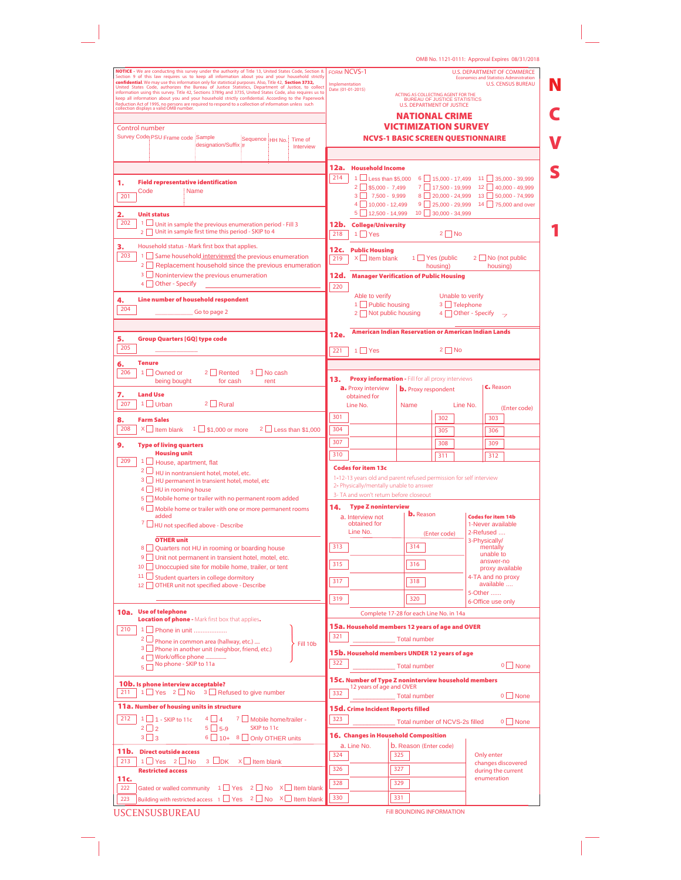| NOTICE - We are conducting this survey under the authority of Title 13, United States Code, Section 8.<br><b>FORM NCVS-1</b><br>Section 9 of this law requires us to keep all information about you and your household strictly<br>confidential. We may use this information only for statistical purposes. Also, Title 42, Section 3732, United States Code, authorizes the Bureau of Justice Statistics, Department of Justice, to collect<br><b>Implementation</b><br>Date: (01-01-2015)<br>information using this survey. Title 42, Sections 3789g and 3735, United States Code, also requires us to<br>ACTING AS COLLECTING AGENT FOR THE BUREAU OF JUSTICE STATISTICS<br>keep all information about you and your household strictly confidential. According to the Paperwork<br><b>U.S. DEPARTMENT OF JUSTICE</b><br><b>NATIONAL CRIME</b><br><b>VICTIMIZATION SURVEY</b><br><b>NCVS-1 BASIC SCREEN QUESTIONNAIRE</b><br>Sequence HH No. Time of<br>designation/Suffix #<br>Interview<br>12a.<br><b>Household Income</b><br>214<br>1 U Less than \$5,000 6 15,000 - 17,499 11 35,000 - 39,999<br><b>Field representative identification</b><br>$2 \Box$ \$5,000 - 7,499<br>7 17,500 - 19,999 12 40,000 - 49,999<br>Code<br><b>Name</b><br>$3$ 7,500 - 9,999<br>8 20,000 - 24,999 13 50,000 - 74,999<br>201<br>$4 \n\begin{array}{ c c }\n10,000 - 12,499\n\end{array}$<br>$9 \square 25.000 - 29.999$<br>$5 \square$ 12,500 - 14,999<br>$10$ 30,000 - 34,999<br><b>Unit status</b><br>202<br>1 Unit in sample the previous enumeration period - Fill 3<br>12b. College/University<br>2 Unit in sample first time this period - SKIP to 4<br>$2 \square$ No<br>218<br>$1 \square Y$ es<br>Household status - Mark first box that applies.<br><b>Public Housing</b><br>12c. .<br>203<br>1 Same household interviewed the previous enumeration<br>$X$ Item blank<br>$1 \cup$ Yes (public<br>219<br>2 Replacement household since the previous enumeration<br>housing) | <b>U.S. DEPARTMENT OF COMMERCE</b><br><b>Economics and Statistics Administration</b><br><b>U.S. CENSUS BUREAU</b><br>14 75,000 and over |
|--------------------------------------------------------------------------------------------------------------------------------------------------------------------------------------------------------------------------------------------------------------------------------------------------------------------------------------------------------------------------------------------------------------------------------------------------------------------------------------------------------------------------------------------------------------------------------------------------------------------------------------------------------------------------------------------------------------------------------------------------------------------------------------------------------------------------------------------------------------------------------------------------------------------------------------------------------------------------------------------------------------------------------------------------------------------------------------------------------------------------------------------------------------------------------------------------------------------------------------------------------------------------------------------------------------------------------------------------------------------------------------------------------------------------------------------------------------------------------------------------------------------------------------------------------------------------------------------------------------------------------------------------------------------------------------------------------------------------------------------------------------------------------------------------------------------------------------------------------------------------------------------------------------------------------------------------------------------------|-----------------------------------------------------------------------------------------------------------------------------------------|
| Reduction Act of 1995, no persons are required to respond to a collection of information unless such collection displays a valid OMB number.<br>Control number<br>Survey Code PSU Frame code Sample<br>1.<br>2.<br>3.                                                                                                                                                                                                                                                                                                                                                                                                                                                                                                                                                                                                                                                                                                                                                                                                                                                                                                                                                                                                                                                                                                                                                                                                                                                                                                                                                                                                                                                                                                                                                                                                                                                                                                                                                    |                                                                                                                                         |
|                                                                                                                                                                                                                                                                                                                                                                                                                                                                                                                                                                                                                                                                                                                                                                                                                                                                                                                                                                                                                                                                                                                                                                                                                                                                                                                                                                                                                                                                                                                                                                                                                                                                                                                                                                                                                                                                                                                                                                          |                                                                                                                                         |
|                                                                                                                                                                                                                                                                                                                                                                                                                                                                                                                                                                                                                                                                                                                                                                                                                                                                                                                                                                                                                                                                                                                                                                                                                                                                                                                                                                                                                                                                                                                                                                                                                                                                                                                                                                                                                                                                                                                                                                          |                                                                                                                                         |
|                                                                                                                                                                                                                                                                                                                                                                                                                                                                                                                                                                                                                                                                                                                                                                                                                                                                                                                                                                                                                                                                                                                                                                                                                                                                                                                                                                                                                                                                                                                                                                                                                                                                                                                                                                                                                                                                                                                                                                          |                                                                                                                                         |
|                                                                                                                                                                                                                                                                                                                                                                                                                                                                                                                                                                                                                                                                                                                                                                                                                                                                                                                                                                                                                                                                                                                                                                                                                                                                                                                                                                                                                                                                                                                                                                                                                                                                                                                                                                                                                                                                                                                                                                          |                                                                                                                                         |
|                                                                                                                                                                                                                                                                                                                                                                                                                                                                                                                                                                                                                                                                                                                                                                                                                                                                                                                                                                                                                                                                                                                                                                                                                                                                                                                                                                                                                                                                                                                                                                                                                                                                                                                                                                                                                                                                                                                                                                          |                                                                                                                                         |
|                                                                                                                                                                                                                                                                                                                                                                                                                                                                                                                                                                                                                                                                                                                                                                                                                                                                                                                                                                                                                                                                                                                                                                                                                                                                                                                                                                                                                                                                                                                                                                                                                                                                                                                                                                                                                                                                                                                                                                          |                                                                                                                                         |
|                                                                                                                                                                                                                                                                                                                                                                                                                                                                                                                                                                                                                                                                                                                                                                                                                                                                                                                                                                                                                                                                                                                                                                                                                                                                                                                                                                                                                                                                                                                                                                                                                                                                                                                                                                                                                                                                                                                                                                          |                                                                                                                                         |
|                                                                                                                                                                                                                                                                                                                                                                                                                                                                                                                                                                                                                                                                                                                                                                                                                                                                                                                                                                                                                                                                                                                                                                                                                                                                                                                                                                                                                                                                                                                                                                                                                                                                                                                                                                                                                                                                                                                                                                          |                                                                                                                                         |
|                                                                                                                                                                                                                                                                                                                                                                                                                                                                                                                                                                                                                                                                                                                                                                                                                                                                                                                                                                                                                                                                                                                                                                                                                                                                                                                                                                                                                                                                                                                                                                                                                                                                                                                                                                                                                                                                                                                                                                          |                                                                                                                                         |
|                                                                                                                                                                                                                                                                                                                                                                                                                                                                                                                                                                                                                                                                                                                                                                                                                                                                                                                                                                                                                                                                                                                                                                                                                                                                                                                                                                                                                                                                                                                                                                                                                                                                                                                                                                                                                                                                                                                                                                          |                                                                                                                                         |
|                                                                                                                                                                                                                                                                                                                                                                                                                                                                                                                                                                                                                                                                                                                                                                                                                                                                                                                                                                                                                                                                                                                                                                                                                                                                                                                                                                                                                                                                                                                                                                                                                                                                                                                                                                                                                                                                                                                                                                          |                                                                                                                                         |
|                                                                                                                                                                                                                                                                                                                                                                                                                                                                                                                                                                                                                                                                                                                                                                                                                                                                                                                                                                                                                                                                                                                                                                                                                                                                                                                                                                                                                                                                                                                                                                                                                                                                                                                                                                                                                                                                                                                                                                          |                                                                                                                                         |
|                                                                                                                                                                                                                                                                                                                                                                                                                                                                                                                                                                                                                                                                                                                                                                                                                                                                                                                                                                                                                                                                                                                                                                                                                                                                                                                                                                                                                                                                                                                                                                                                                                                                                                                                                                                                                                                                                                                                                                          |                                                                                                                                         |
|                                                                                                                                                                                                                                                                                                                                                                                                                                                                                                                                                                                                                                                                                                                                                                                                                                                                                                                                                                                                                                                                                                                                                                                                                                                                                                                                                                                                                                                                                                                                                                                                                                                                                                                                                                                                                                                                                                                                                                          |                                                                                                                                         |
|                                                                                                                                                                                                                                                                                                                                                                                                                                                                                                                                                                                                                                                                                                                                                                                                                                                                                                                                                                                                                                                                                                                                                                                                                                                                                                                                                                                                                                                                                                                                                                                                                                                                                                                                                                                                                                                                                                                                                                          | $2 \Box$ No (not public<br>housing)                                                                                                     |
| $3 \Box$ Noninterview the previous enumeration<br>12d.<br><b>Manager Verification of Public Housing</b>                                                                                                                                                                                                                                                                                                                                                                                                                                                                                                                                                                                                                                                                                                                                                                                                                                                                                                                                                                                                                                                                                                                                                                                                                                                                                                                                                                                                                                                                                                                                                                                                                                                                                                                                                                                                                                                                  |                                                                                                                                         |
| 4 Other - Specify<br>220                                                                                                                                                                                                                                                                                                                                                                                                                                                                                                                                                                                                                                                                                                                                                                                                                                                                                                                                                                                                                                                                                                                                                                                                                                                                                                                                                                                                                                                                                                                                                                                                                                                                                                                                                                                                                                                                                                                                                 |                                                                                                                                         |
| Able to verify<br>Unable to verify                                                                                                                                                                                                                                                                                                                                                                                                                                                                                                                                                                                                                                                                                                                                                                                                                                                                                                                                                                                                                                                                                                                                                                                                                                                                                                                                                                                                                                                                                                                                                                                                                                                                                                                                                                                                                                                                                                                                       |                                                                                                                                         |
| Line number of household respondent<br>4.<br>1 Public housing<br>3 Telephone<br>204                                                                                                                                                                                                                                                                                                                                                                                                                                                                                                                                                                                                                                                                                                                                                                                                                                                                                                                                                                                                                                                                                                                                                                                                                                                                                                                                                                                                                                                                                                                                                                                                                                                                                                                                                                                                                                                                                      |                                                                                                                                         |
| Go to page 2<br>2 Not public housing<br>4 Other - Specify                                                                                                                                                                                                                                                                                                                                                                                                                                                                                                                                                                                                                                                                                                                                                                                                                                                                                                                                                                                                                                                                                                                                                                                                                                                                                                                                                                                                                                                                                                                                                                                                                                                                                                                                                                                                                                                                                                                |                                                                                                                                         |
| <b>American Indian Reservation or American Indian Lands</b>                                                                                                                                                                                                                                                                                                                                                                                                                                                                                                                                                                                                                                                                                                                                                                                                                                                                                                                                                                                                                                                                                                                                                                                                                                                                                                                                                                                                                                                                                                                                                                                                                                                                                                                                                                                                                                                                                                              |                                                                                                                                         |
| 12e.<br><b>Group Quarters [GQ] type code</b><br>5.                                                                                                                                                                                                                                                                                                                                                                                                                                                                                                                                                                                                                                                                                                                                                                                                                                                                                                                                                                                                                                                                                                                                                                                                                                                                                                                                                                                                                                                                                                                                                                                                                                                                                                                                                                                                                                                                                                                       |                                                                                                                                         |
| 205<br>$1$ $\sqrt{ }$ Yes<br>$2 \Box$ No<br>221                                                                                                                                                                                                                                                                                                                                                                                                                                                                                                                                                                                                                                                                                                                                                                                                                                                                                                                                                                                                                                                                                                                                                                                                                                                                                                                                                                                                                                                                                                                                                                                                                                                                                                                                                                                                                                                                                                                          |                                                                                                                                         |
| <b>Tenure</b><br>6.                                                                                                                                                                                                                                                                                                                                                                                                                                                                                                                                                                                                                                                                                                                                                                                                                                                                                                                                                                                                                                                                                                                                                                                                                                                                                                                                                                                                                                                                                                                                                                                                                                                                                                                                                                                                                                                                                                                                                      |                                                                                                                                         |
| 206<br>$2 \Box$ Rented<br>3 No cash<br>1 Owned or                                                                                                                                                                                                                                                                                                                                                                                                                                                                                                                                                                                                                                                                                                                                                                                                                                                                                                                                                                                                                                                                                                                                                                                                                                                                                                                                                                                                                                                                                                                                                                                                                                                                                                                                                                                                                                                                                                                        |                                                                                                                                         |
| Proxy information - Fill for all proxy interviews<br>13.<br>being bought<br>for cash<br>rent<br>a. Proxy interview<br><b>b.</b> Proxy respondent                                                                                                                                                                                                                                                                                                                                                                                                                                                                                                                                                                                                                                                                                                                                                                                                                                                                                                                                                                                                                                                                                                                                                                                                                                                                                                                                                                                                                                                                                                                                                                                                                                                                                                                                                                                                                         | C. Reason                                                                                                                               |
| <b>Land Use</b><br>7.<br>obtained for                                                                                                                                                                                                                                                                                                                                                                                                                                                                                                                                                                                                                                                                                                                                                                                                                                                                                                                                                                                                                                                                                                                                                                                                                                                                                                                                                                                                                                                                                                                                                                                                                                                                                                                                                                                                                                                                                                                                    |                                                                                                                                         |
| 207<br>$1$ Urban<br>$2 \Box$ Rural<br>Line No.<br>Line No.<br><b>Name</b>                                                                                                                                                                                                                                                                                                                                                                                                                                                                                                                                                                                                                                                                                                                                                                                                                                                                                                                                                                                                                                                                                                                                                                                                                                                                                                                                                                                                                                                                                                                                                                                                                                                                                                                                                                                                                                                                                                | (Enter code)                                                                                                                            |
| 301<br>302<br>8.<br><b>Farm Sales</b>                                                                                                                                                                                                                                                                                                                                                                                                                                                                                                                                                                                                                                                                                                                                                                                                                                                                                                                                                                                                                                                                                                                                                                                                                                                                                                                                                                                                                                                                                                                                                                                                                                                                                                                                                                                                                                                                                                                                    | 303                                                                                                                                     |
| $2 \Box$ Less than \$1,000<br>208<br>$1 \square$ \$1,000 or more<br>$X$ Item blank<br>304<br>305                                                                                                                                                                                                                                                                                                                                                                                                                                                                                                                                                                                                                                                                                                                                                                                                                                                                                                                                                                                                                                                                                                                                                                                                                                                                                                                                                                                                                                                                                                                                                                                                                                                                                                                                                                                                                                                                         | 306                                                                                                                                     |
| 307<br>308                                                                                                                                                                                                                                                                                                                                                                                                                                                                                                                                                                                                                                                                                                                                                                                                                                                                                                                                                                                                                                                                                                                                                                                                                                                                                                                                                                                                                                                                                                                                                                                                                                                                                                                                                                                                                                                                                                                                                               | 309                                                                                                                                     |
| <b>Type of living quarters</b><br>9.<br><b>Housing unit</b><br>310<br>311                                                                                                                                                                                                                                                                                                                                                                                                                                                                                                                                                                                                                                                                                                                                                                                                                                                                                                                                                                                                                                                                                                                                                                                                                                                                                                                                                                                                                                                                                                                                                                                                                                                                                                                                                                                                                                                                                                | 312                                                                                                                                     |
| 209<br>House, apartment, flat                                                                                                                                                                                                                                                                                                                                                                                                                                                                                                                                                                                                                                                                                                                                                                                                                                                                                                                                                                                                                                                                                                                                                                                                                                                                                                                                                                                                                                                                                                                                                                                                                                                                                                                                                                                                                                                                                                                                            |                                                                                                                                         |
| <b>Codes for item 13c</b><br>2 HU in nontransient hotel, motel, etc.                                                                                                                                                                                                                                                                                                                                                                                                                                                                                                                                                                                                                                                                                                                                                                                                                                                                                                                                                                                                                                                                                                                                                                                                                                                                                                                                                                                                                                                                                                                                                                                                                                                                                                                                                                                                                                                                                                     |                                                                                                                                         |
| 1-12-13 years old and parent refused permission for self interview<br>3 HU permanent in transient hotel, motel, etc<br>2- Physically/mentally unable to answer                                                                                                                                                                                                                                                                                                                                                                                                                                                                                                                                                                                                                                                                                                                                                                                                                                                                                                                                                                                                                                                                                                                                                                                                                                                                                                                                                                                                                                                                                                                                                                                                                                                                                                                                                                                                           |                                                                                                                                         |
| 4 HU in rooming house<br>3- TA and won't return before closeout<br>5 Mobile home or trailer with no permanent room added                                                                                                                                                                                                                                                                                                                                                                                                                                                                                                                                                                                                                                                                                                                                                                                                                                                                                                                                                                                                                                                                                                                                                                                                                                                                                                                                                                                                                                                                                                                                                                                                                                                                                                                                                                                                                                                 |                                                                                                                                         |
| 14.<br><b>Type Z noninterview</b><br>6   Mobile home or trailer with one or more permanent rooms                                                                                                                                                                                                                                                                                                                                                                                                                                                                                                                                                                                                                                                                                                                                                                                                                                                                                                                                                                                                                                                                                                                                                                                                                                                                                                                                                                                                                                                                                                                                                                                                                                                                                                                                                                                                                                                                         |                                                                                                                                         |
| <b>b.</b> Reason<br>added<br>a. Interview not                                                                                                                                                                                                                                                                                                                                                                                                                                                                                                                                                                                                                                                                                                                                                                                                                                                                                                                                                                                                                                                                                                                                                                                                                                                                                                                                                                                                                                                                                                                                                                                                                                                                                                                                                                                                                                                                                                                            | <b>Codes for item 14b</b>                                                                                                               |
| obtained for<br>$7 \Box$ HU not specified above - Describe<br>Line No.<br>2-Refused                                                                                                                                                                                                                                                                                                                                                                                                                                                                                                                                                                                                                                                                                                                                                                                                                                                                                                                                                                                                                                                                                                                                                                                                                                                                                                                                                                                                                                                                                                                                                                                                                                                                                                                                                                                                                                                                                      | 1-Never available                                                                                                                       |
| (Enter code)<br><b>OTHER unit</b><br>3-Physically/                                                                                                                                                                                                                                                                                                                                                                                                                                                                                                                                                                                                                                                                                                                                                                                                                                                                                                                                                                                                                                                                                                                                                                                                                                                                                                                                                                                                                                                                                                                                                                                                                                                                                                                                                                                                                                                                                                                       |                                                                                                                                         |
| 314<br>313<br>8 Quarters not HU in rooming or boarding house                                                                                                                                                                                                                                                                                                                                                                                                                                                                                                                                                                                                                                                                                                                                                                                                                                                                                                                                                                                                                                                                                                                                                                                                                                                                                                                                                                                                                                                                                                                                                                                                                                                                                                                                                                                                                                                                                                             | mentally                                                                                                                                |
| 9 Unit not permanent in transient hotel, motel, etc.<br>315<br>316                                                                                                                                                                                                                                                                                                                                                                                                                                                                                                                                                                                                                                                                                                                                                                                                                                                                                                                                                                                                                                                                                                                                                                                                                                                                                                                                                                                                                                                                                                                                                                                                                                                                                                                                                                                                                                                                                                       | unable to<br>answer-no                                                                                                                  |
| 10 Unoccupied site for mobile home, trailer, or tent                                                                                                                                                                                                                                                                                                                                                                                                                                                                                                                                                                                                                                                                                                                                                                                                                                                                                                                                                                                                                                                                                                                                                                                                                                                                                                                                                                                                                                                                                                                                                                                                                                                                                                                                                                                                                                                                                                                     | proxy available                                                                                                                         |
| 11 Student quarters in college dormitory<br>317<br>318<br>12 OTHER unit not specified above - Describe                                                                                                                                                                                                                                                                                                                                                                                                                                                                                                                                                                                                                                                                                                                                                                                                                                                                                                                                                                                                                                                                                                                                                                                                                                                                                                                                                                                                                                                                                                                                                                                                                                                                                                                                                                                                                                                                   | 4-TA and no proxy<br>available                                                                                                          |
| 5-Other<br>319<br>320                                                                                                                                                                                                                                                                                                                                                                                                                                                                                                                                                                                                                                                                                                                                                                                                                                                                                                                                                                                                                                                                                                                                                                                                                                                                                                                                                                                                                                                                                                                                                                                                                                                                                                                                                                                                                                                                                                                                                    |                                                                                                                                         |
|                                                                                                                                                                                                                                                                                                                                                                                                                                                                                                                                                                                                                                                                                                                                                                                                                                                                                                                                                                                                                                                                                                                                                                                                                                                                                                                                                                                                                                                                                                                                                                                                                                                                                                                                                                                                                                                                                                                                                                          | 6-Office use only                                                                                                                       |
| 10a. Use of telephone<br>Complete 17-28 for each Line No. in 14a<br>Location of phone - Mark first box that applies.                                                                                                                                                                                                                                                                                                                                                                                                                                                                                                                                                                                                                                                                                                                                                                                                                                                                                                                                                                                                                                                                                                                                                                                                                                                                                                                                                                                                                                                                                                                                                                                                                                                                                                                                                                                                                                                     |                                                                                                                                         |
| 15a. Household members 12 years of age and OVER<br>210<br>1 Phone in unit                                                                                                                                                                                                                                                                                                                                                                                                                                                                                                                                                                                                                                                                                                                                                                                                                                                                                                                                                                                                                                                                                                                                                                                                                                                                                                                                                                                                                                                                                                                                                                                                                                                                                                                                                                                                                                                                                                |                                                                                                                                         |
| 321<br>2 Phone in common area (hallway, etc.)<br><b>Total number</b><br>Fill 10b                                                                                                                                                                                                                                                                                                                                                                                                                                                                                                                                                                                                                                                                                                                                                                                                                                                                                                                                                                                                                                                                                                                                                                                                                                                                                                                                                                                                                                                                                                                                                                                                                                                                                                                                                                                                                                                                                         |                                                                                                                                         |
| 3 Phone in another unit (neighbor, friend, etc.)<br>15b. Household members UNDER 12 years of age                                                                                                                                                                                                                                                                                                                                                                                                                                                                                                                                                                                                                                                                                                                                                                                                                                                                                                                                                                                                                                                                                                                                                                                                                                                                                                                                                                                                                                                                                                                                                                                                                                                                                                                                                                                                                                                                         |                                                                                                                                         |
| 4 Work/office phone<br>322<br>$5\overline{)}$ No phone - SKIP to 11a<br><b>Total number</b>                                                                                                                                                                                                                                                                                                                                                                                                                                                                                                                                                                                                                                                                                                                                                                                                                                                                                                                                                                                                                                                                                                                                                                                                                                                                                                                                                                                                                                                                                                                                                                                                                                                                                                                                                                                                                                                                              | $0 \Box$ None                                                                                                                           |
|                                                                                                                                                                                                                                                                                                                                                                                                                                                                                                                                                                                                                                                                                                                                                                                                                                                                                                                                                                                                                                                                                                                                                                                                                                                                                                                                                                                                                                                                                                                                                                                                                                                                                                                                                                                                                                                                                                                                                                          |                                                                                                                                         |
|                                                                                                                                                                                                                                                                                                                                                                                                                                                                                                                                                                                                                                                                                                                                                                                                                                                                                                                                                                                                                                                                                                                                                                                                                                                                                                                                                                                                                                                                                                                                                                                                                                                                                                                                                                                                                                                                                                                                                                          |                                                                                                                                         |
| 15c. Number of Type Z noninterview household members<br>12 years of age and OVER                                                                                                                                                                                                                                                                                                                                                                                                                                                                                                                                                                                                                                                                                                                                                                                                                                                                                                                                                                                                                                                                                                                                                                                                                                                                                                                                                                                                                                                                                                                                                                                                                                                                                                                                                                                                                                                                                         |                                                                                                                                         |
| 1 Yes 2 No 3 Refused to give number<br>332<br><b>Total number</b>                                                                                                                                                                                                                                                                                                                                                                                                                                                                                                                                                                                                                                                                                                                                                                                                                                                                                                                                                                                                                                                                                                                                                                                                                                                                                                                                                                                                                                                                                                                                                                                                                                                                                                                                                                                                                                                                                                        | $0 \Box$ None                                                                                                                           |
| 15d. Crime Incident Reports filled                                                                                                                                                                                                                                                                                                                                                                                                                                                                                                                                                                                                                                                                                                                                                                                                                                                                                                                                                                                                                                                                                                                                                                                                                                                                                                                                                                                                                                                                                                                                                                                                                                                                                                                                                                                                                                                                                                                                       |                                                                                                                                         |
| $4\Box 4$<br>$1 \square$ 1 - SKIP to 11c<br>7 Mobile home/trailer -<br>323                                                                                                                                                                                                                                                                                                                                                                                                                                                                                                                                                                                                                                                                                                                                                                                                                                                                                                                                                                                                                                                                                                                                                                                                                                                                                                                                                                                                                                                                                                                                                                                                                                                                                                                                                                                                                                                                                               |                                                                                                                                         |
| Total number of NCVS-2s filled<br>SKIP to 11c<br>$2\Box 2$<br>$5 \square 5-9$                                                                                                                                                                                                                                                                                                                                                                                                                                                                                                                                                                                                                                                                                                                                                                                                                                                                                                                                                                                                                                                                                                                                                                                                                                                                                                                                                                                                                                                                                                                                                                                                                                                                                                                                                                                                                                                                                            | $0 \Box$ None                                                                                                                           |
| 16. Changes in Household Composition<br>$3\Box 3$<br>6 10+ 8 Only OTHER units                                                                                                                                                                                                                                                                                                                                                                                                                                                                                                                                                                                                                                                                                                                                                                                                                                                                                                                                                                                                                                                                                                                                                                                                                                                                                                                                                                                                                                                                                                                                                                                                                                                                                                                                                                                                                                                                                            |                                                                                                                                         |
| b. Reason (Enter code)<br>a. Line No.<br><b>Direct outside access</b>                                                                                                                                                                                                                                                                                                                                                                                                                                                                                                                                                                                                                                                                                                                                                                                                                                                                                                                                                                                                                                                                                                                                                                                                                                                                                                                                                                                                                                                                                                                                                                                                                                                                                                                                                                                                                                                                                                    |                                                                                                                                         |
| 324<br>325<br>Only enter<br>$3 \Box DK$<br>$1 \square$ Yes $2 \square$ No<br>$X \Box$ Item blank                                                                                                                                                                                                                                                                                                                                                                                                                                                                                                                                                                                                                                                                                                                                                                                                                                                                                                                                                                                                                                                                                                                                                                                                                                                                                                                                                                                                                                                                                                                                                                                                                                                                                                                                                                                                                                                                         | changes discovered                                                                                                                      |
| 326<br>327<br><b>Restricted access</b>                                                                                                                                                                                                                                                                                                                                                                                                                                                                                                                                                                                                                                                                                                                                                                                                                                                                                                                                                                                                                                                                                                                                                                                                                                                                                                                                                                                                                                                                                                                                                                                                                                                                                                                                                                                                                                                                                                                                   | during the current                                                                                                                      |
| 10b. Is phone interview acceptable?<br>211<br>11a. Number of housing units in structure<br>212<br>11b. l<br>213<br>11c.<br>328<br>329<br>222                                                                                                                                                                                                                                                                                                                                                                                                                                                                                                                                                                                                                                                                                                                                                                                                                                                                                                                                                                                                                                                                                                                                                                                                                                                                                                                                                                                                                                                                                                                                                                                                                                                                                                                                                                                                                             | enumeration                                                                                                                             |
| Gated or walled community $1 \square$ Yes $2 \square$ No $X \square$ Item blank<br>Building with restricted access $\begin{array}{ccc} 1 \ \square \ \text{Yes} & 2 \ \square \ \text{No} & \times \ \square \end{array}$ Item blank<br>330<br>331<br>223                                                                                                                                                                                                                                                                                                                                                                                                                                                                                                                                                                                                                                                                                                                                                                                                                                                                                                                                                                                                                                                                                                                                                                                                                                                                                                                                                                                                                                                                                                                                                                                                                                                                                                                |                                                                                                                                         |

USCENSUSBUREAU

Fill BOUNDING INFORMATION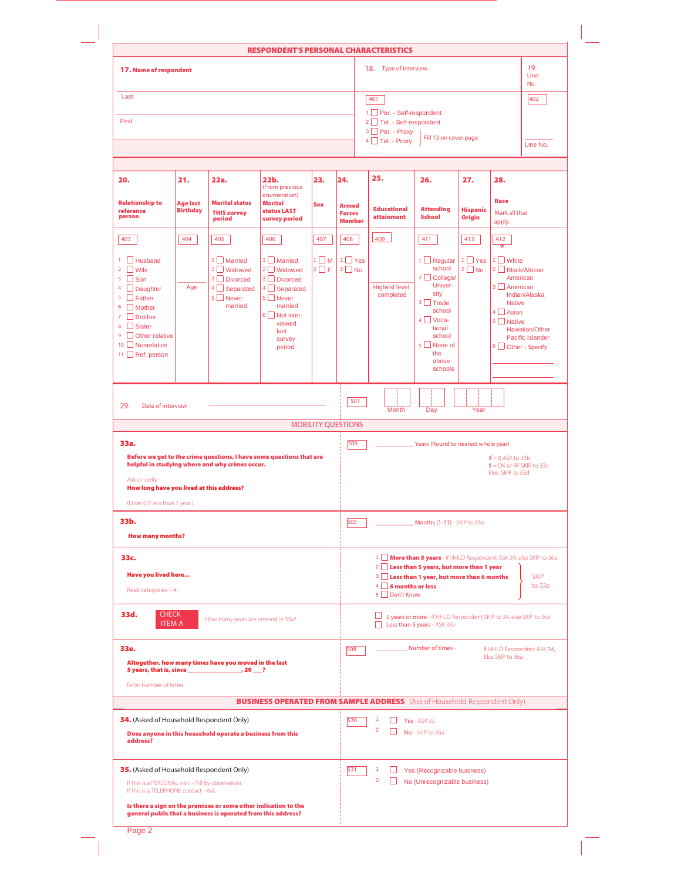|                                                                                                                                                                                                                                              |                                    |                                                                                                                         | <b>RESPONDENT'S PERSONAL CHARACTERISTICS</b>                                                                                                                |                          |                                                |                                                      |                                                                                                                                                                       |                                  |                                                                                                                            |                                                     |
|----------------------------------------------------------------------------------------------------------------------------------------------------------------------------------------------------------------------------------------------|------------------------------------|-------------------------------------------------------------------------------------------------------------------------|-------------------------------------------------------------------------------------------------------------------------------------------------------------|--------------------------|------------------------------------------------|------------------------------------------------------|-----------------------------------------------------------------------------------------------------------------------------------------------------------------------|----------------------------------|----------------------------------------------------------------------------------------------------------------------------|-----------------------------------------------------|
| 17. Name of respondent                                                                                                                                                                                                                       |                                    |                                                                                                                         |                                                                                                                                                             |                          |                                                | 18. Type of interview                                |                                                                                                                                                                       |                                  |                                                                                                                            | 19.<br>Line<br>No.                                  |
| Last                                                                                                                                                                                                                                         |                                    |                                                                                                                         |                                                                                                                                                             |                          |                                                | 401                                                  |                                                                                                                                                                       |                                  |                                                                                                                            | 402                                                 |
| First                                                                                                                                                                                                                                        |                                    |                                                                                                                         |                                                                                                                                                             |                          |                                                | 1 Per. - Self-respondent<br>2 Tel. - Self-respondent |                                                                                                                                                                       |                                  |                                                                                                                            |                                                     |
|                                                                                                                                                                                                                                              |                                    |                                                                                                                         |                                                                                                                                                             |                          |                                                | 3 Per. - Proxy                                       | Fill 13 on cover page                                                                                                                                                 |                                  |                                                                                                                            |                                                     |
|                                                                                                                                                                                                                                              |                                    |                                                                                                                         |                                                                                                                                                             |                          |                                                | $4 \Box$ Tel. - Proxy                                |                                                                                                                                                                       |                                  |                                                                                                                            | Line No.                                            |
| 20.                                                                                                                                                                                                                                          | 21.                                | 22a.                                                                                                                    | 22b.<br>(From previous                                                                                                                                      | 23.                      | 24.                                            | 25.                                                  | 26.                                                                                                                                                                   | 27.                              | 28.                                                                                                                        |                                                     |
| <b>Relationship to</b><br>reference<br>person                                                                                                                                                                                                | <b>Age last</b><br><b>Birthday</b> | <b>Marital status</b><br><b>THIS survey</b><br>period                                                                   | enumeration)<br><b>Marital</b><br>status LAST<br>survey period                                                                                              | <b>Sex</b>               | <b>Armed</b><br><b>Forces</b><br><b>Member</b> | <b>Educational</b><br><b>attainment</b>              | <b>Attending</b><br><b>School</b>                                                                                                                                     | <b>Hispanic</b><br><b>Origin</b> | Race<br>Mark all that<br>apply.                                                                                            |                                                     |
| 403                                                                                                                                                                                                                                          | 404                                | 405                                                                                                                     | 406                                                                                                                                                         | 407                      | 408                                            | 409                                                  | 411                                                                                                                                                                   | 413                              | 412                                                                                                                        |                                                     |
| $\mathbf{1}$<br>  Husband<br>$\overline{2}$<br>$\Box$ Wife<br>$3 \cup$ Son<br>4<br>Daughter<br>$5 \Box$ Father<br>6<br>$\Box$ Mother<br>$\overline{7}$<br>$\Box$ Brother<br>8 Sister<br>9 Other relative<br>10 Nonrelative<br>11 Ref. person | Age                                | $1$ Married<br>2 Widowed<br>3 Divorced<br>4 Separated<br>$5 \Box$ Never<br>married                                      | $1 \Box$ Married<br>$2 \Box$ Widowed<br>3 Divorced<br>$4 \Box$ Separated<br>5 Never<br>married<br>$6 \Box$ Not inter-<br>viewed<br>last<br>survey<br>period | $1 \Box M$<br>$2 \Box F$ | $1$ $\Box$ Yes<br>$2 \square$ No               | <b>Highest level</b><br>completed                    | $1 \square$ Regular<br>school<br>$2 \Box$ College/<br>Univer-<br>sity<br>$3$ Trade<br>school<br>$4$ Voca-<br>tional<br>school<br>5 None of<br>the<br>above<br>schools | $1 \square$ Yes<br>$2 \Box$ No   | 1 White<br>$2$ Black/African<br>American<br>3 American<br><b>Native</b><br>$4 \Box$ Asian<br>5 Native<br>6 Other - Specify | Indian/Alaska<br>Hawaiian/Other<br>Pacific Islander |
| 29.<br>Date of interview                                                                                                                                                                                                                     |                                    |                                                                                                                         |                                                                                                                                                             |                          | 501                                            | Month                                                | Day                                                                                                                                                                   | Year                             |                                                                                                                            |                                                     |
|                                                                                                                                                                                                                                              |                                    |                                                                                                                         |                                                                                                                                                             |                          |                                                |                                                      |                                                                                                                                                                       |                                  |                                                                                                                            |                                                     |
|                                                                                                                                                                                                                                              |                                    |                                                                                                                         |                                                                                                                                                             |                          | <b>MOBILITY QUESTIONS</b>                      |                                                      |                                                                                                                                                                       |                                  |                                                                                                                            |                                                     |
|                                                                                                                                                                                                                                              |                                    | Before we get to the crime questions, I have some questions that are<br>helpful in studying where and why crimes occur. |                                                                                                                                                             |                          | 506                                            |                                                      | Years (Round to nearest whole year)                                                                                                                                   |                                  | $If = 0$ ASK to 33b<br>If $= DK$ or RF SKIP to 33c                                                                         |                                                     |
| 33a.<br>Ask or verify -<br>How long have you lived at this address?                                                                                                                                                                          |                                    |                                                                                                                         |                                                                                                                                                             |                          |                                                |                                                      |                                                                                                                                                                       |                                  | Else SKIP to 33d                                                                                                           |                                                     |
| (Enter 0 if less than 1 year.)                                                                                                                                                                                                               |                                    |                                                                                                                         |                                                                                                                                                             |                          |                                                |                                                      |                                                                                                                                                                       |                                  |                                                                                                                            |                                                     |
| <b>How many months?</b>                                                                                                                                                                                                                      |                                    |                                                                                                                         |                                                                                                                                                             |                          | 505                                            |                                                      | Months (1-11) - SKIP to 33e                                                                                                                                           |                                  |                                                                                                                            |                                                     |
|                                                                                                                                                                                                                                              |                                    |                                                                                                                         |                                                                                                                                                             |                          |                                                |                                                      | 1 <b>More than 5 years</b> - If HHLD Respondent ASK 34, else SKIP to 36a.                                                                                             |                                  |                                                                                                                            |                                                     |
| <b>Have you lived here</b>                                                                                                                                                                                                                   |                                    |                                                                                                                         |                                                                                                                                                             |                          |                                                |                                                      | 2 Less than 5 years, but more than 1 year                                                                                                                             |                                  |                                                                                                                            | <b>SKIP</b>                                         |
| Read categories 1-4:                                                                                                                                                                                                                         |                                    |                                                                                                                         |                                                                                                                                                             |                          |                                                | $4\Box$ 6 months or less<br>5 □ Don't Know           | 3 Less than 1 year, but more than 6 months                                                                                                                            |                                  |                                                                                                                            | to 33e                                              |
| <b>CHECK</b><br><b>ITEM A</b>                                                                                                                                                                                                                |                                    | How many years are entered in 33a?                                                                                      |                                                                                                                                                             |                          |                                                | ⊔                                                    | 5 years or more - If HHLD Respondent SKIP to 34, else SKIP to 36a<br>Less than 5 years - ASK 33e                                                                      |                                  |                                                                                                                            |                                                     |
| 33b.<br>33c.<br>33d.<br>33e.                                                                                                                                                                                                                 |                                    |                                                                                                                         |                                                                                                                                                             |                          | 508                                            |                                                      | Number of times -                                                                                                                                                     |                                  |                                                                                                                            |                                                     |
|                                                                                                                                                                                                                                              |                                    | Altogether, how many times have you moved in the last                                                                   |                                                                                                                                                             |                          |                                                |                                                      |                                                                                                                                                                       |                                  | Else SKIP to 36a                                                                                                           |                                                     |
| Enter number of times.                                                                                                                                                                                                                       |                                    |                                                                                                                         |                                                                                                                                                             |                          |                                                |                                                      |                                                                                                                                                                       |                                  |                                                                                                                            |                                                     |
|                                                                                                                                                                                                                                              |                                    |                                                                                                                         | <b>BUSINESS OPERATED FROM SAMPLE ADDRESS</b> (Ask of Household Respondent Only)                                                                             |                          |                                                |                                                      |                                                                                                                                                                       |                                  |                                                                                                                            | If HHLD Respondent ASK 34,                          |
| address?                                                                                                                                                                                                                                     |                                    | Does anyone in this household operate a business from this                                                              |                                                                                                                                                             |                          | 530                                            | $\Box$ Yes - ASK 35<br>$\overline{2}$                | No - SKIP to 36a                                                                                                                                                      |                                  |                                                                                                                            |                                                     |
|                                                                                                                                                                                                                                              |                                    |                                                                                                                         |                                                                                                                                                             |                          | 531                                            |                                                      | Yes (Recognizable business)                                                                                                                                           |                                  |                                                                                                                            |                                                     |
| 34. (Asked of Household Respondent Only)<br>35. (Asked of Household Respondent Only)<br>If this is a PERSONAL visit - Fill by observation.<br>If this is a TELEPHONE contact - Ask.                                                          |                                    |                                                                                                                         |                                                                                                                                                             |                          |                                                | $\overline{2}$<br>$\Box$                             | No (Unrecognizable business)                                                                                                                                          |                                  |                                                                                                                            |                                                     |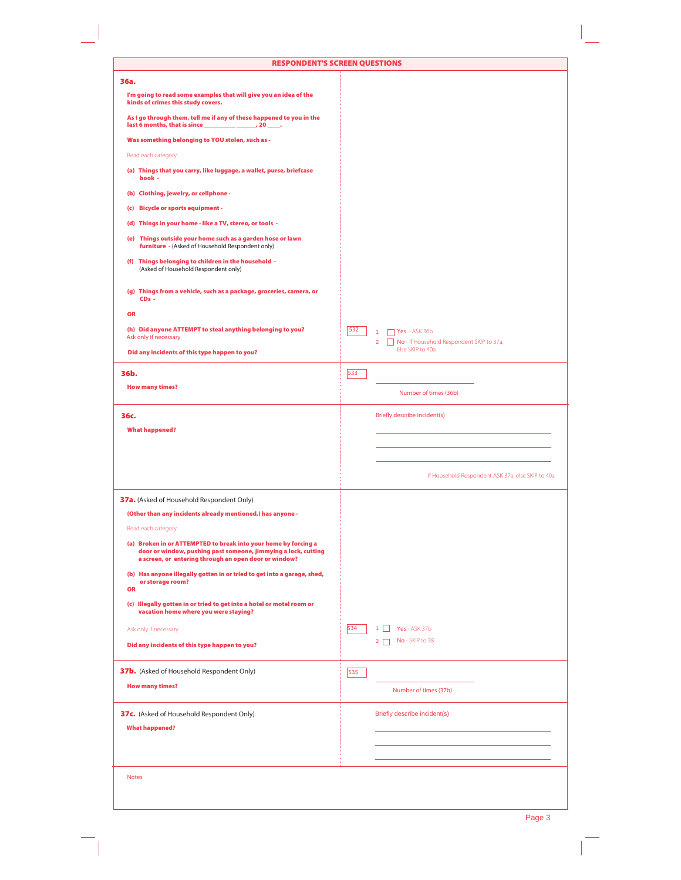| 36a.                                                                                                                                                                                       |                                                                 |
|--------------------------------------------------------------------------------------------------------------------------------------------------------------------------------------------|-----------------------------------------------------------------|
| I'm going to read some examples that will give you an idea of the<br>kinds of crimes this study covers.                                                                                    |                                                                 |
| As I go through them, tell me if any of these happened to you in the                                                                                                                       |                                                                 |
| Was something belonging to YOU stolen, such as -                                                                                                                                           |                                                                 |
| Read each category.                                                                                                                                                                        |                                                                 |
| (a) Things that you carry, like luggage, a wallet, purse, briefcase<br>book -                                                                                                              |                                                                 |
| (b) Clothing, jewelry, or cellphone -                                                                                                                                                      |                                                                 |
| (c) Bicycle or sports equipment -                                                                                                                                                          |                                                                 |
| (d) Things in your home - like a TV, stereo, or tools -                                                                                                                                    |                                                                 |
| (e) Things outside your home such as a garden hose or lawn<br>furniture - (Asked of Household Respondent only)                                                                             |                                                                 |
| (f) Things belonging to children in the household -<br>(Asked of Household Respondent only)                                                                                                |                                                                 |
| (g) Things from a vehicle, such as a package, groceries, camera, or<br>$CDs -$                                                                                                             |                                                                 |
| <b>OR</b>                                                                                                                                                                                  |                                                                 |
| (h) Did anyone ATTEMPT to steal anything belonging to you?                                                                                                                                 | 532<br>$\Box$ Yes - ASK 36b                                     |
| Ask only if necessary                                                                                                                                                                      | 2 No - If Household Respondent SKIP to 37a;<br>Else SKIP to 40a |
| Did any incidents of this type happen to you?                                                                                                                                              |                                                                 |
| 36b.                                                                                                                                                                                       | 533                                                             |
| <b>How many times?</b>                                                                                                                                                                     | Number of times (36b)                                           |
| 36с.                                                                                                                                                                                       | Briefly describe incident(s)                                    |
| <b>What happened?</b>                                                                                                                                                                      |                                                                 |
|                                                                                                                                                                                            |                                                                 |
|                                                                                                                                                                                            |                                                                 |
|                                                                                                                                                                                            | If Household Respondent ASK 37a; else SKIP to 40a               |
| 37a. (Asked of Household Respondent Only)                                                                                                                                                  |                                                                 |
| (Other than any incidents already mentioned,) has anyone -                                                                                                                                 |                                                                 |
| Read each category.                                                                                                                                                                        |                                                                 |
| (a) Broken in or ATTEMPTED to break into your home by forcing a<br>door or window, pushing past someone, jimmying a lock, cutting<br>a screen, or entering through an open door or window? |                                                                 |
| (b) Has anyone illegally gotten in or tried to get into a garage, shed,<br>or storage room?<br><b>OR</b>                                                                                   |                                                                 |
| (c) Illegally gotten in or tried to get into a hotel or motel room or<br>vacation home where you were staying?                                                                             |                                                                 |
| Ask only if necessary                                                                                                                                                                      | 534<br>Yes - ASK 37b<br>$1 \mid$                                |
| Did any incidents of this type happen to you?                                                                                                                                              | No - SKIP to 38<br>$2\Box$                                      |
| 37b. (Asked of Household Respondent Only)                                                                                                                                                  | 535                                                             |
| <b>How many times?</b>                                                                                                                                                                     | Number of times (37b)                                           |
| <b>37c.</b> (Asked of Household Respondent Only)                                                                                                                                           | Briefly describe incident(s)                                    |
| <b>What happened?</b>                                                                                                                                                                      |                                                                 |
|                                                                                                                                                                                            |                                                                 |
|                                                                                                                                                                                            |                                                                 |
|                                                                                                                                                                                            |                                                                 |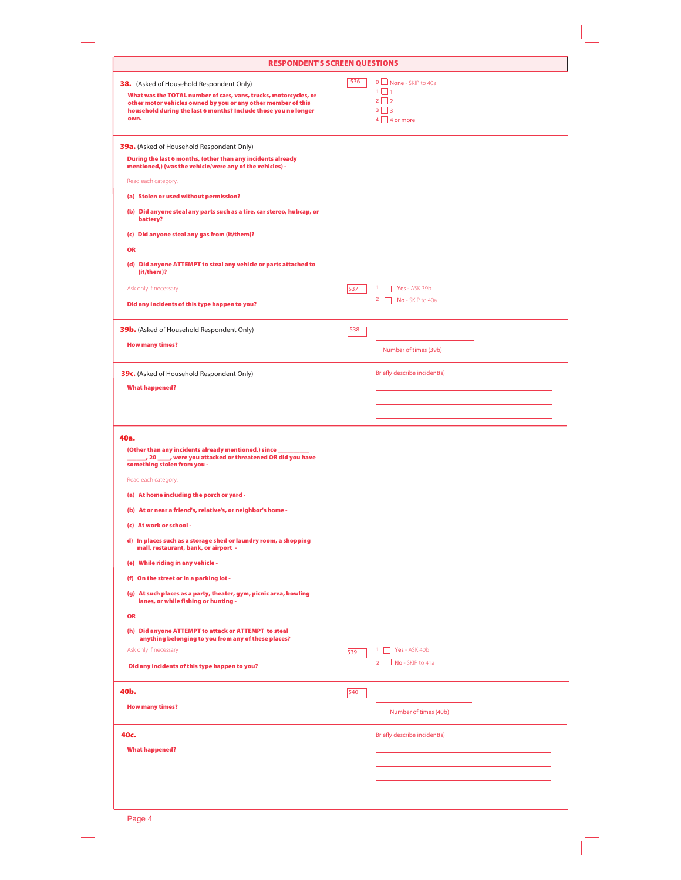| <b>RESPONDENT'S SCREEN QUESTIONS</b>                                                                                                                                                                                                                                                                                                                                                                                                                                                                                                                                                                                                                                                                                                                       |                                                                                                                           |
|------------------------------------------------------------------------------------------------------------------------------------------------------------------------------------------------------------------------------------------------------------------------------------------------------------------------------------------------------------------------------------------------------------------------------------------------------------------------------------------------------------------------------------------------------------------------------------------------------------------------------------------------------------------------------------------------------------------------------------------------------------|---------------------------------------------------------------------------------------------------------------------------|
| 38. (Asked of Household Respondent Only)<br>What was the TOTAL number of cars, vans, trucks, motorcycles, or<br>other motor vehicles owned by you or any other member of this<br>household during the last 6 months? Include those you no longer<br>own.                                                                                                                                                                                                                                                                                                                                                                                                                                                                                                   | 536<br>0   None - SKIP to 40a<br>1 □ 1<br>$2\Box 2$<br>$3\Box$<br>$4 \square 4$ or more                                   |
| <b>39a.</b> (Asked of Household Respondent Only)<br>During the last 6 months, (other than any incidents already<br>mentioned,) (was the vehicle/were any of the vehicles) -<br>Read each category.<br>(a) Stolen or used without permission?<br>(b) Did anyone steal any parts such as a tire, car stereo, hubcap, or<br>battery?<br>(c) Did anyone steal any gas from (it/them)?<br><b>OR</b><br>(d) Did anyone ATTEMPT to steal any vehicle or parts attached to<br>(it/them)?<br>Ask only if necessary<br>Did any incidents of this type happen to you?<br><b>39b.</b> (Asked of Household Respondent Only)<br><b>How many times?</b><br><b>39c.</b> (Asked of Household Respondent Only)<br><b>What happened?</b>                                      | 537<br>$1$ Yes - ASK 39b<br>$2 \Box$ No - SKIP to 40a<br>538<br>Number of times (39b)<br>Briefly describe incident(s)     |
| 40a.<br>(Other than any incidents already mentioned,) since<br>, 20 ____, were you attacked or threatened OR did you have<br>something stolen from you -<br>Read each category.<br>(a) At home including the porch or yard -<br>(b) At or near a friend's, relative's, or neighbor's home -<br>(c) At work or school -<br>d) In places such as a storage shed or laundry room, a shopping<br>mall, restaurant, bank, or airport -<br>(e) While riding in any vehicle -<br>(f) On the street or in a parking lot -<br>(g) At such places as a party, theater, gym, picnic area, bowling<br>lanes, or while fishing or hunting -<br><b>OR</b><br>(h) Did anyone ATTEMPT to attack or ATTEMPT to steal<br>anything belonging to you from any of these places? |                                                                                                                           |
| Ask only if necessary<br>Did any incidents of this type happen to you?<br>40b.<br><b>How many times?</b><br>40c.<br><b>What happened?</b>                                                                                                                                                                                                                                                                                                                                                                                                                                                                                                                                                                                                                  | $\Box$ Yes - ASK 40b<br>1.<br>539<br>$2$ No - SKIP to 41a<br>540<br>Number of times (40b)<br>Briefly describe incident(s) |
|                                                                                                                                                                                                                                                                                                                                                                                                                                                                                                                                                                                                                                                                                                                                                            |                                                                                                                           |

Page 4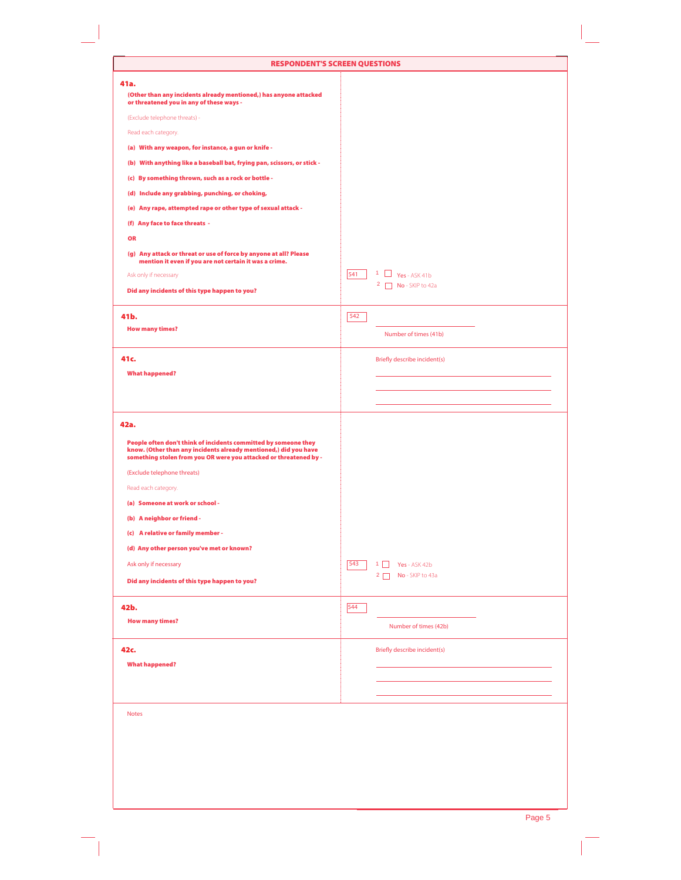| <b>RESPONDENT'S SCREEN QUESTIONS</b>                                                                                                                                                                     |                                     |
|----------------------------------------------------------------------------------------------------------------------------------------------------------------------------------------------------------|-------------------------------------|
| 41a.                                                                                                                                                                                                     |                                     |
| (Other than any incidents already mentioned,) has anyone attacked<br>or threatened you in any of these ways -                                                                                            |                                     |
| (Exclude telephone threats) -                                                                                                                                                                            |                                     |
| Read each category.                                                                                                                                                                                      |                                     |
| (a) With any weapon, for instance, a gun or knife -                                                                                                                                                      |                                     |
| (b) With anything like a baseball bat, frying pan, scissors, or stick -                                                                                                                                  |                                     |
| (c) By something thrown, such as a rock or bottle -                                                                                                                                                      |                                     |
| (d) Include any grabbing, punching, or choking,                                                                                                                                                          |                                     |
| (e) Any rape, attempted rape or other type of sexual attack -                                                                                                                                            |                                     |
| (f) Any face to face threats -                                                                                                                                                                           |                                     |
| <b>OR</b>                                                                                                                                                                                                |                                     |
| (g) Any attack or threat or use of force by anyone at all? Please<br>mention it even if you are not certain it was a crime.                                                                              |                                     |
| Ask only if necessary                                                                                                                                                                                    | $1 \Box$ Yes - ASK 41b<br>541       |
| Did any incidents of this type happen to you?                                                                                                                                                            | $2 \Box$ No - SKIP to 42a           |
|                                                                                                                                                                                                          |                                     |
| 41b.                                                                                                                                                                                                     | 542                                 |
| <b>How many times?</b>                                                                                                                                                                                   | Number of times (41b)               |
|                                                                                                                                                                                                          |                                     |
| 41c.                                                                                                                                                                                                     | <b>Briefly describe incident(s)</b> |
| <b>What happened?</b>                                                                                                                                                                                    |                                     |
|                                                                                                                                                                                                          |                                     |
|                                                                                                                                                                                                          |                                     |
| 42a.                                                                                                                                                                                                     |                                     |
| People often don't think of incidents committed by someone they<br>know. (Other than any incidents already mentioned,) did you have<br>something stolen from you OR were you attacked or threatened by - |                                     |
| (Exclude telephone threats)                                                                                                                                                                              |                                     |
| Read each category.                                                                                                                                                                                      |                                     |
| (a) Someone at work or school -                                                                                                                                                                          |                                     |
| (b) A neighbor or friend -                                                                                                                                                                               |                                     |
| (c) A relative or family member -                                                                                                                                                                        |                                     |
| (d) Any other person you've met or known?                                                                                                                                                                |                                     |
| Ask only if necessary                                                                                                                                                                                    | 543<br>$1 \Box$<br>Yes - ASK 42b    |
| Did any incidents of this type happen to you?                                                                                                                                                            | $2 \Box$ No - SKIP to 43a           |
|                                                                                                                                                                                                          |                                     |
| 42b.                                                                                                                                                                                                     | 544                                 |
| <b>How many times?</b>                                                                                                                                                                                   | Number of times (42b)               |
|                                                                                                                                                                                                          |                                     |
| 42c.<br><b>What happened?</b>                                                                                                                                                                            | Briefly describe incident(s)        |
|                                                                                                                                                                                                          |                                     |
|                                                                                                                                                                                                          |                                     |
|                                                                                                                                                                                                          |                                     |
| <b>Notes</b>                                                                                                                                                                                             |                                     |
|                                                                                                                                                                                                          |                                     |
|                                                                                                                                                                                                          |                                     |
|                                                                                                                                                                                                          |                                     |
|                                                                                                                                                                                                          |                                     |
|                                                                                                                                                                                                          |                                     |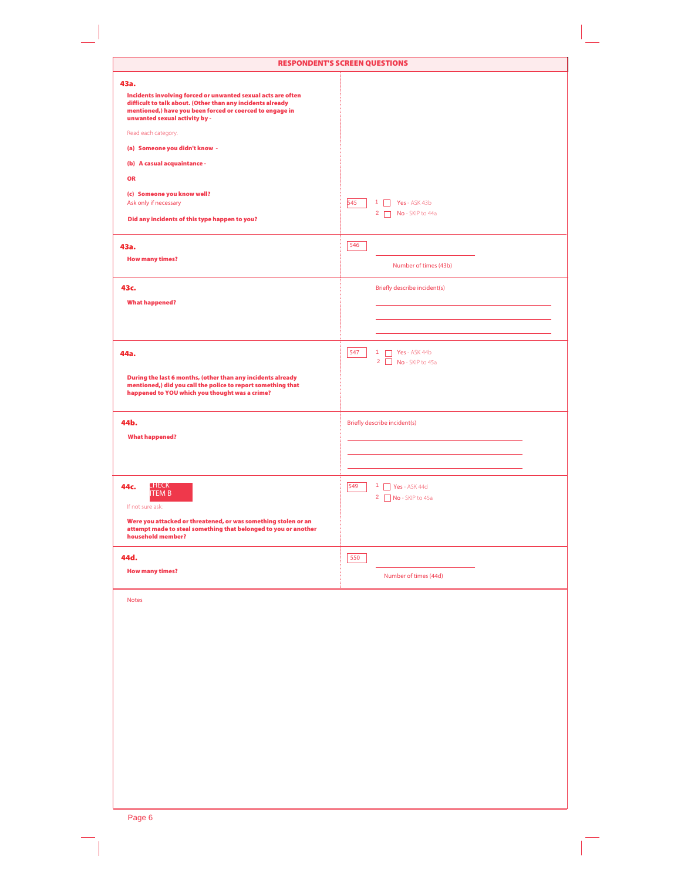| 43a.<br>Incidents involving forced or unwanted sexual acts are often<br>difficult to talk about. (Other than any incidents already<br>mentioned,) have you been forced or coerced to engage in<br>unwanted sexual activity by -<br>Read each category.<br>(a) Someone you didn't know -<br>(b) A casual acquaintance -<br><b>OR</b><br>(c) Someone you know well?<br>545<br>Ask only if necessary<br>$\Box$ Yes - ASK 43b<br>1<br>$2 \Box$ No - SKIP to 44a<br>Did any incidents of this type happen to you?<br>546<br>43a.<br><b>How many times?</b><br>Number of times (43b)<br><b>Briefly describe incident(s)</b><br>43c.<br><b>What happened?</b><br>547<br>1 $\Box$ Yes - ASK 44b<br>2 $\Box$ No - SKIP to 45a<br>44a.<br>During the last 6 months, (other than any incidents already<br>mentioned,) did you call the police to report something that<br>happened to YOU which you thought was a crime?<br>44b.<br>Briefly describe incident(s)<br><b>What happened?</b><br><b>CHECK</b><br>549<br>$1$ $\Box$ Yes - ASK 44d<br>44c.<br><b>ITEM B</b><br>2 No - SKIP to 45a<br>If not sure ask:<br>Were you attacked or threatened, or was something stolen or an<br>attempt made to steal something that belonged to you or another<br>household member?<br>44d.<br>550<br><b>How many times?</b><br>Number of times (44d) | <b>RESPONDENT'S SCREEN QUESTIONS</b> |
|----------------------------------------------------------------------------------------------------------------------------------------------------------------------------------------------------------------------------------------------------------------------------------------------------------------------------------------------------------------------------------------------------------------------------------------------------------------------------------------------------------------------------------------------------------------------------------------------------------------------------------------------------------------------------------------------------------------------------------------------------------------------------------------------------------------------------------------------------------------------------------------------------------------------------------------------------------------------------------------------------------------------------------------------------------------------------------------------------------------------------------------------------------------------------------------------------------------------------------------------------------------------------------------------------------------------------------|--------------------------------------|
|                                                                                                                                                                                                                                                                                                                                                                                                                                                                                                                                                                                                                                                                                                                                                                                                                                                                                                                                                                                                                                                                                                                                                                                                                                                                                                                                  |                                      |
|                                                                                                                                                                                                                                                                                                                                                                                                                                                                                                                                                                                                                                                                                                                                                                                                                                                                                                                                                                                                                                                                                                                                                                                                                                                                                                                                  |                                      |
|                                                                                                                                                                                                                                                                                                                                                                                                                                                                                                                                                                                                                                                                                                                                                                                                                                                                                                                                                                                                                                                                                                                                                                                                                                                                                                                                  |                                      |
|                                                                                                                                                                                                                                                                                                                                                                                                                                                                                                                                                                                                                                                                                                                                                                                                                                                                                                                                                                                                                                                                                                                                                                                                                                                                                                                                  |                                      |
|                                                                                                                                                                                                                                                                                                                                                                                                                                                                                                                                                                                                                                                                                                                                                                                                                                                                                                                                                                                                                                                                                                                                                                                                                                                                                                                                  |                                      |
|                                                                                                                                                                                                                                                                                                                                                                                                                                                                                                                                                                                                                                                                                                                                                                                                                                                                                                                                                                                                                                                                                                                                                                                                                                                                                                                                  |                                      |
|                                                                                                                                                                                                                                                                                                                                                                                                                                                                                                                                                                                                                                                                                                                                                                                                                                                                                                                                                                                                                                                                                                                                                                                                                                                                                                                                  |                                      |
|                                                                                                                                                                                                                                                                                                                                                                                                                                                                                                                                                                                                                                                                                                                                                                                                                                                                                                                                                                                                                                                                                                                                                                                                                                                                                                                                  |                                      |
|                                                                                                                                                                                                                                                                                                                                                                                                                                                                                                                                                                                                                                                                                                                                                                                                                                                                                                                                                                                                                                                                                                                                                                                                                                                                                                                                  |                                      |
|                                                                                                                                                                                                                                                                                                                                                                                                                                                                                                                                                                                                                                                                                                                                                                                                                                                                                                                                                                                                                                                                                                                                                                                                                                                                                                                                  |                                      |
|                                                                                                                                                                                                                                                                                                                                                                                                                                                                                                                                                                                                                                                                                                                                                                                                                                                                                                                                                                                                                                                                                                                                                                                                                                                                                                                                  |                                      |
|                                                                                                                                                                                                                                                                                                                                                                                                                                                                                                                                                                                                                                                                                                                                                                                                                                                                                                                                                                                                                                                                                                                                                                                                                                                                                                                                  |                                      |
|                                                                                                                                                                                                                                                                                                                                                                                                                                                                                                                                                                                                                                                                                                                                                                                                                                                                                                                                                                                                                                                                                                                                                                                                                                                                                                                                  |                                      |
|                                                                                                                                                                                                                                                                                                                                                                                                                                                                                                                                                                                                                                                                                                                                                                                                                                                                                                                                                                                                                                                                                                                                                                                                                                                                                                                                  |                                      |
|                                                                                                                                                                                                                                                                                                                                                                                                                                                                                                                                                                                                                                                                                                                                                                                                                                                                                                                                                                                                                                                                                                                                                                                                                                                                                                                                  |                                      |
|                                                                                                                                                                                                                                                                                                                                                                                                                                                                                                                                                                                                                                                                                                                                                                                                                                                                                                                                                                                                                                                                                                                                                                                                                                                                                                                                  |                                      |
|                                                                                                                                                                                                                                                                                                                                                                                                                                                                                                                                                                                                                                                                                                                                                                                                                                                                                                                                                                                                                                                                                                                                                                                                                                                                                                                                  |                                      |
|                                                                                                                                                                                                                                                                                                                                                                                                                                                                                                                                                                                                                                                                                                                                                                                                                                                                                                                                                                                                                                                                                                                                                                                                                                                                                                                                  |                                      |
|                                                                                                                                                                                                                                                                                                                                                                                                                                                                                                                                                                                                                                                                                                                                                                                                                                                                                                                                                                                                                                                                                                                                                                                                                                                                                                                                  |                                      |
|                                                                                                                                                                                                                                                                                                                                                                                                                                                                                                                                                                                                                                                                                                                                                                                                                                                                                                                                                                                                                                                                                                                                                                                                                                                                                                                                  |                                      |
|                                                                                                                                                                                                                                                                                                                                                                                                                                                                                                                                                                                                                                                                                                                                                                                                                                                                                                                                                                                                                                                                                                                                                                                                                                                                                                                                  |                                      |
|                                                                                                                                                                                                                                                                                                                                                                                                                                                                                                                                                                                                                                                                                                                                                                                                                                                                                                                                                                                                                                                                                                                                                                                                                                                                                                                                  |                                      |
|                                                                                                                                                                                                                                                                                                                                                                                                                                                                                                                                                                                                                                                                                                                                                                                                                                                                                                                                                                                                                                                                                                                                                                                                                                                                                                                                  |                                      |
|                                                                                                                                                                                                                                                                                                                                                                                                                                                                                                                                                                                                                                                                                                                                                                                                                                                                                                                                                                                                                                                                                                                                                                                                                                                                                                                                  |                                      |
|                                                                                                                                                                                                                                                                                                                                                                                                                                                                                                                                                                                                                                                                                                                                                                                                                                                                                                                                                                                                                                                                                                                                                                                                                                                                                                                                  |                                      |
|                                                                                                                                                                                                                                                                                                                                                                                                                                                                                                                                                                                                                                                                                                                                                                                                                                                                                                                                                                                                                                                                                                                                                                                                                                                                                                                                  |                                      |
|                                                                                                                                                                                                                                                                                                                                                                                                                                                                                                                                                                                                                                                                                                                                                                                                                                                                                                                                                                                                                                                                                                                                                                                                                                                                                                                                  |                                      |
|                                                                                                                                                                                                                                                                                                                                                                                                                                                                                                                                                                                                                                                                                                                                                                                                                                                                                                                                                                                                                                                                                                                                                                                                                                                                                                                                  |                                      |
|                                                                                                                                                                                                                                                                                                                                                                                                                                                                                                                                                                                                                                                                                                                                                                                                                                                                                                                                                                                                                                                                                                                                                                                                                                                                                                                                  |                                      |
|                                                                                                                                                                                                                                                                                                                                                                                                                                                                                                                                                                                                                                                                                                                                                                                                                                                                                                                                                                                                                                                                                                                                                                                                                                                                                                                                  |                                      |
|                                                                                                                                                                                                                                                                                                                                                                                                                                                                                                                                                                                                                                                                                                                                                                                                                                                                                                                                                                                                                                                                                                                                                                                                                                                                                                                                  |                                      |
|                                                                                                                                                                                                                                                                                                                                                                                                                                                                                                                                                                                                                                                                                                                                                                                                                                                                                                                                                                                                                                                                                                                                                                                                                                                                                                                                  |                                      |
|                                                                                                                                                                                                                                                                                                                                                                                                                                                                                                                                                                                                                                                                                                                                                                                                                                                                                                                                                                                                                                                                                                                                                                                                                                                                                                                                  |                                      |
|                                                                                                                                                                                                                                                                                                                                                                                                                                                                                                                                                                                                                                                                                                                                                                                                                                                                                                                                                                                                                                                                                                                                                                                                                                                                                                                                  |                                      |
|                                                                                                                                                                                                                                                                                                                                                                                                                                                                                                                                                                                                                                                                                                                                                                                                                                                                                                                                                                                                                                                                                                                                                                                                                                                                                                                                  |                                      |
|                                                                                                                                                                                                                                                                                                                                                                                                                                                                                                                                                                                                                                                                                                                                                                                                                                                                                                                                                                                                                                                                                                                                                                                                                                                                                                                                  |                                      |
|                                                                                                                                                                                                                                                                                                                                                                                                                                                                                                                                                                                                                                                                                                                                                                                                                                                                                                                                                                                                                                                                                                                                                                                                                                                                                                                                  |                                      |
|                                                                                                                                                                                                                                                                                                                                                                                                                                                                                                                                                                                                                                                                                                                                                                                                                                                                                                                                                                                                                                                                                                                                                                                                                                                                                                                                  |                                      |
|                                                                                                                                                                                                                                                                                                                                                                                                                                                                                                                                                                                                                                                                                                                                                                                                                                                                                                                                                                                                                                                                                                                                                                                                                                                                                                                                  |                                      |
|                                                                                                                                                                                                                                                                                                                                                                                                                                                                                                                                                                                                                                                                                                                                                                                                                                                                                                                                                                                                                                                                                                                                                                                                                                                                                                                                  |                                      |
|                                                                                                                                                                                                                                                                                                                                                                                                                                                                                                                                                                                                                                                                                                                                                                                                                                                                                                                                                                                                                                                                                                                                                                                                                                                                                                                                  |                                      |
|                                                                                                                                                                                                                                                                                                                                                                                                                                                                                                                                                                                                                                                                                                                                                                                                                                                                                                                                                                                                                                                                                                                                                                                                                                                                                                                                  |                                      |

Page 6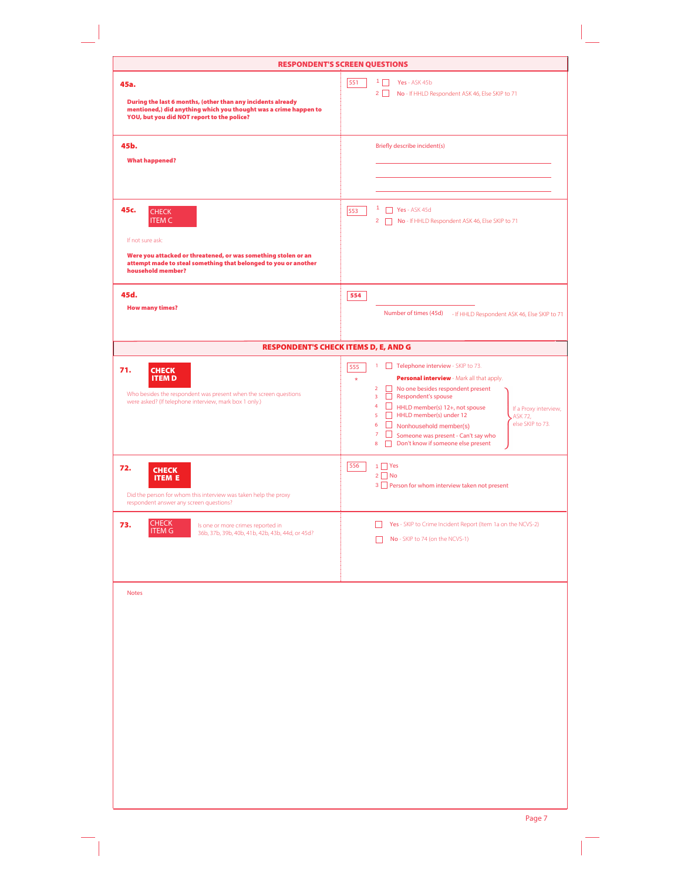|                                                                                                                                                                                                                     | <b>RESPONDENT'S SCREEN QUESTIONS</b>                                                                                                                                                                                                                                                                                                                                                                                                                                                     |
|---------------------------------------------------------------------------------------------------------------------------------------------------------------------------------------------------------------------|------------------------------------------------------------------------------------------------------------------------------------------------------------------------------------------------------------------------------------------------------------------------------------------------------------------------------------------------------------------------------------------------------------------------------------------------------------------------------------------|
| 45a.<br>During the last 6 months, (other than any incidents already<br>mentioned,) did anything which you thought was a crime happen to<br>YOU, but you did NOT report to the police?                               | 551<br>$1 \Box$<br>Yes - ASK 45b<br>$2\Box$<br>No - If HHLD Respondent ASK 46, Else SKIP to 71                                                                                                                                                                                                                                                                                                                                                                                           |
| 45b.<br><b>What happened?</b>                                                                                                                                                                                       | Briefly describe incident(s)                                                                                                                                                                                                                                                                                                                                                                                                                                                             |
| 45c.<br><b>CHECK</b><br><b>ITEM C</b><br>If not sure ask:<br>Were you attacked or threatened, or was something stolen or an<br>attempt made to steal something that belonged to you or another<br>household member? | $1$ <b>Yes</b> - ASK 45d<br>553<br>2 No - If HHLD Respondent ASK 46, Else SKIP to 71                                                                                                                                                                                                                                                                                                                                                                                                     |
| 45d.<br><b>How many times?</b>                                                                                                                                                                                      | 554<br>Number of times (45d)<br>- If HHLD Respondent ASK 46, Else SKIP to 71                                                                                                                                                                                                                                                                                                                                                                                                             |
| <b>RESPONDENT'S CHECK ITEMS D, E, AND G</b>                                                                                                                                                                         |                                                                                                                                                                                                                                                                                                                                                                                                                                                                                          |
| 71.<br><b>CHECK</b><br><b>ITEM D</b><br>Who besides the respondent was present when the screen questions<br>were asked? (If telephone interview, mark box 1 only.)                                                  | 1 Telephone interview - SKIP to 73.<br>555<br>Personal interview - Mark all that apply.<br>$\star$<br>$\overline{2}$<br>No one besides respondent present<br>Respondent's spouse<br>3<br>$\overline{4}$<br>HHLD member(s) 12+, not spouse<br>If a Proxy interview,<br>5<br>П<br>HHLD member(s) under 12<br>ASK 72,<br>else SKIP to 73.<br>6<br>□<br>Nonhousehold member(s)<br>$\overline{7}$<br>⊔<br>Someone was present - Can't say who<br>Don't know if someone else present<br>8<br>П |
| 72.<br><b>CHECK</b><br><b>ITEM E</b><br>Did the person for whom this interview was taken help the proxy<br>respondent answer any screen questions?                                                                  | $1$ $\Box$ Yes<br>556<br>$2 \square$ No<br>3 Person for whom interview taken not present                                                                                                                                                                                                                                                                                                                                                                                                 |
| <b>CHECK</b><br>73.<br>Is one or more crimes reported in<br><b>ITEM G</b><br>36b, 37b, 39b, 40b, 41b, 42b, 43b, 44d, or 45d?                                                                                        | Yes - SKIP to Crime Incident Report (Item 1a on the NCVS-2)<br>I.<br>No - SKIP to 74 (on the NCVS-1)                                                                                                                                                                                                                                                                                                                                                                                     |
| <b>Notes</b>                                                                                                                                                                                                        |                                                                                                                                                                                                                                                                                                                                                                                                                                                                                          |
|                                                                                                                                                                                                                     | Page 7                                                                                                                                                                                                                                                                                                                                                                                                                                                                                   |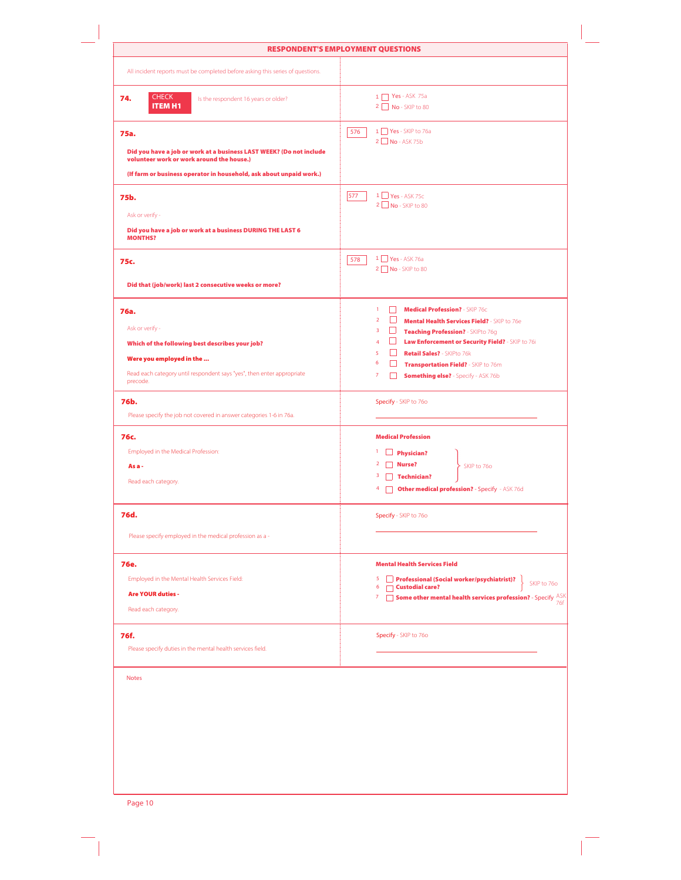|                                                                                                                                                                                                 | <b>RESPONDENT'S EMPLOYMENT QUESTIONS</b>                                                                                                                                                                                                                                                                                                                                                                                                            |
|-------------------------------------------------------------------------------------------------------------------------------------------------------------------------------------------------|-----------------------------------------------------------------------------------------------------------------------------------------------------------------------------------------------------------------------------------------------------------------------------------------------------------------------------------------------------------------------------------------------------------------------------------------------------|
| All incident reports must be completed before asking this series of questions.                                                                                                                  |                                                                                                                                                                                                                                                                                                                                                                                                                                                     |
| <b>CHECK</b><br>74.<br>Is the respondent 16 years or older?<br><b>ITEM H1</b>                                                                                                                   | 1   Yes - ASK 75a<br>2 No - SKIP to 80                                                                                                                                                                                                                                                                                                                                                                                                              |
| 75a.<br>Did you have a job or work at a business LAST WEEK? (Do not include<br>volunteer work or work around the house.)<br>(If farm or business operator in household, ask about unpaid work.) | 1 Yes - SKIP to 76a<br>576<br>$2$ No - ASK 75b                                                                                                                                                                                                                                                                                                                                                                                                      |
| 75b.<br>Ask or verify -                                                                                                                                                                         | $1 \square$ Yes - ASK 75c<br>577<br>2 No - SKIP to 80                                                                                                                                                                                                                                                                                                                                                                                               |
| Did you have a job or work at a business DURING THE LAST 6<br><b>MONTHS?</b><br>75c.                                                                                                            | 1 Yes - ASK 76a<br>578<br>2 No - SKIP to 80                                                                                                                                                                                                                                                                                                                                                                                                         |
| Did that (job/work) last 2 consecutive weeks or more?                                                                                                                                           |                                                                                                                                                                                                                                                                                                                                                                                                                                                     |
| 76a.<br>Ask or verify -<br>Which of the following best describes your job?<br>Were you employed in the<br>Read each category until respondent says "yes", then enter appropriate<br>precode.    | <b>Medical Profession?</b> - SKIP 76c<br>$\mathbf{1}$<br>П<br>$\Box$<br>$\overline{2}$<br>Mental Health Services Field? - SKIP to 76e<br>$\overline{\mathbf{3}}$<br>□<br>Teaching Profession? - SKIPto 76g<br>Law Enforcement or Security Field? - SKIP to 76i<br>$\overline{4}$<br>$\Box$<br>5<br>Retail Sales? - SKIPto 76k<br>6<br>ш<br>Transportation Field? - SKIP to 76m<br>$\overline{7}$<br><b>Something else?</b> - Specify - ASK 76b<br>Ш |
| 76b.<br>Please specify the job not covered in answer categories 1-6 in 76a.                                                                                                                     | Specify - SKIP to 760                                                                                                                                                                                                                                                                                                                                                                                                                               |
| 76c.<br>Employed in the Medical Profession:<br>As a-<br>Read each category.                                                                                                                     | <b>Medical Profession</b><br>$\Box$ Physician?<br>Nurse?<br>SKIP to 76o<br>$3$ Technician?<br>4 <b>Other medical profession?</b> - Specify - ASK 76d                                                                                                                                                                                                                                                                                                |
| 76d.                                                                                                                                                                                            | Specify - SKIP to 760                                                                                                                                                                                                                                                                                                                                                                                                                               |
| Please specify employed in the medical profession as a -                                                                                                                                        |                                                                                                                                                                                                                                                                                                                                                                                                                                                     |
| <b>76e.</b><br>Employed in the Mental Health Services Field:<br><b>Are YOUR duties -</b><br>Read each category.                                                                                 | <b>Mental Health Services Field</b><br>5<br>Professional (Social worker/psychiatrist)?<br>SKIP to 76o<br>6<br>$\Box$ Custodial care?<br>Some other mental health services profession? - Specify ASK<br>7                                                                                                                                                                                                                                            |
| 76f.<br>Please specify duties in the mental health services field.                                                                                                                              | Specify - SKIP to 760                                                                                                                                                                                                                                                                                                                                                                                                                               |
| <b>Notes</b>                                                                                                                                                                                    |                                                                                                                                                                                                                                                                                                                                                                                                                                                     |
|                                                                                                                                                                                                 |                                                                                                                                                                                                                                                                                                                                                                                                                                                     |

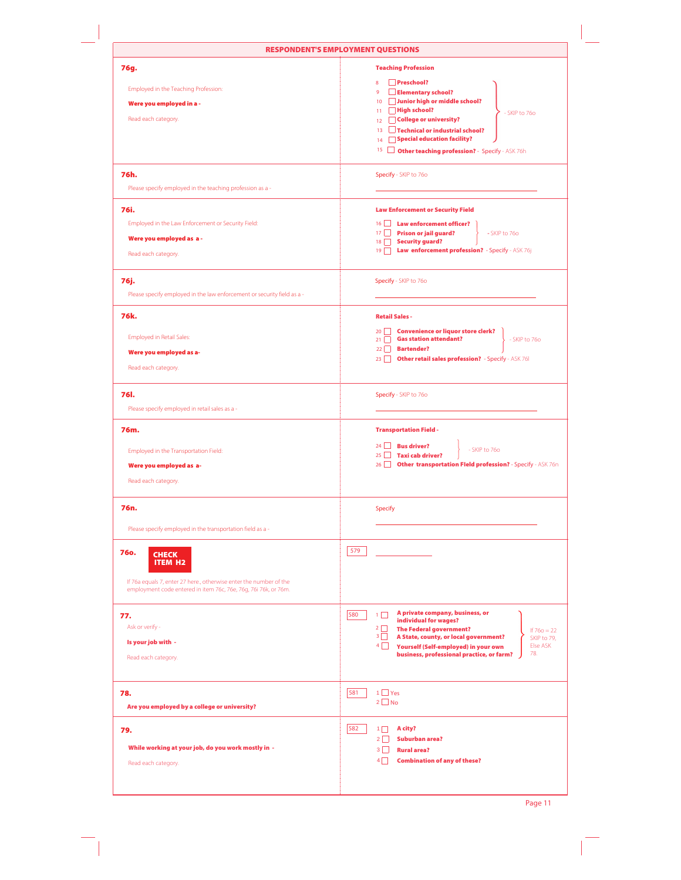|                                                                                                                                                                                        | <b>RESPONDENT'S EMPLOYMENT QUESTIONS</b>                                                                                                                                                                                                                                                                                                            |
|----------------------------------------------------------------------------------------------------------------------------------------------------------------------------------------|-----------------------------------------------------------------------------------------------------------------------------------------------------------------------------------------------------------------------------------------------------------------------------------------------------------------------------------------------------|
| 76g.<br>Employed in the Teaching Profession:<br>Were you employed in a -<br>Read each category.                                                                                        | <b>Teaching Profession</b><br>Preschool?<br>8<br>Elementary school?<br>$\overline{9}$<br>10 Junior high or middle school?<br>$11$ High school?<br>- SKIP to 76o<br>College or university?<br>12 <sup>°</sup><br>13 Technical or industrial school?<br>Special education facility?<br>14<br>15 <b>Other teaching profession?</b> - Specify - ASK 76h |
| 76h.<br>Please specify employed in the teaching profession as a -<br>76i.<br>Employed in the Law Enforcement or Security Field:<br>Were you employed as a-<br>Read each category.      | Specify - SKIP to 760<br><b>Law Enforcement or Security Field</b><br><b>Law enforcement officer?</b><br>$16$    <br>17 Prison or jail guard?<br>- SKIP to 76o<br>18 Security guard?<br>19   Law enforcement profession? - Specify - ASK 76j                                                                                                         |
| 76j.<br>Please specify employed in the law enforcement or security field as a -                                                                                                        | Specify - SKIP to 760                                                                                                                                                                                                                                                                                                                               |
| 76k.<br><b>Employed in Retail Sales:</b><br>Were you employed as a-<br>Read each category.                                                                                             | <b>Retail Sales -</b><br><b>Convenience or liquor store clerk?</b><br>20<br><b>Gas station attendant?</b><br>$21 \Box$<br>- SKIP to 76o<br>22 <b>Bartender?</b><br><b>Other retail sales profession?</b> - Specify - ASK 76I<br>$23$                                                                                                                |
| <b>76I.</b><br>Please specify employed in retail sales as a -                                                                                                                          | Specify - SKIP to 760                                                                                                                                                                                                                                                                                                                               |
| 76m.<br>Employed in the Transportation Field:<br>Were you employed as a-<br>Read each category.                                                                                        | <b>Transportation Field -</b><br>$24$ Bus driver?<br>- SKIP to 76o<br>25 Taxi cab driver?<br>26 Other transportation Fleld profession? - Specify - ASK 76n                                                                                                                                                                                          |
| 76n.<br>Please specify employed in the transportation field as a -                                                                                                                     | <b>Specify</b>                                                                                                                                                                                                                                                                                                                                      |
| <b>76o.</b><br><b>CHECK</b><br><b>ITEM H2</b><br>If 76a equals 7, enter 27 here., otherwise enter the number of the<br>employment code entered in item 76c, 76e, 76g, 76i 76k, or 76m. | 579                                                                                                                                                                                                                                                                                                                                                 |
| 77.<br>Ask or verify -<br>Is your job with -<br>Read each category.                                                                                                                    | A private company, business, or<br>580<br>$1\Box$<br>individual for wages?<br>$2\Box$<br><b>The Federal government?</b><br>If $760 = 22$<br>$3\Box$<br>A State, county, or local government?<br>SKIP to 79,<br>Else ASK<br>$4\Box$<br>Yourself (Self-employed) in your own<br>78.<br>business, professional practice, or farm?                      |
| 78.<br>Are you employed by a college or university?                                                                                                                                    | $1 \Box$ Yes<br>581<br>$2 \Box$ No                                                                                                                                                                                                                                                                                                                  |
| 79.<br>While working at your job, do you work mostly in -<br>Read each category.                                                                                                       | 582<br>A city?<br>$1\Box$<br>$2\Box$<br>Suburban area?<br>$3 \mid$<br><b>Rural area?</b><br>$4\Box$<br><b>Combination of any of these?</b>                                                                                                                                                                                                          |